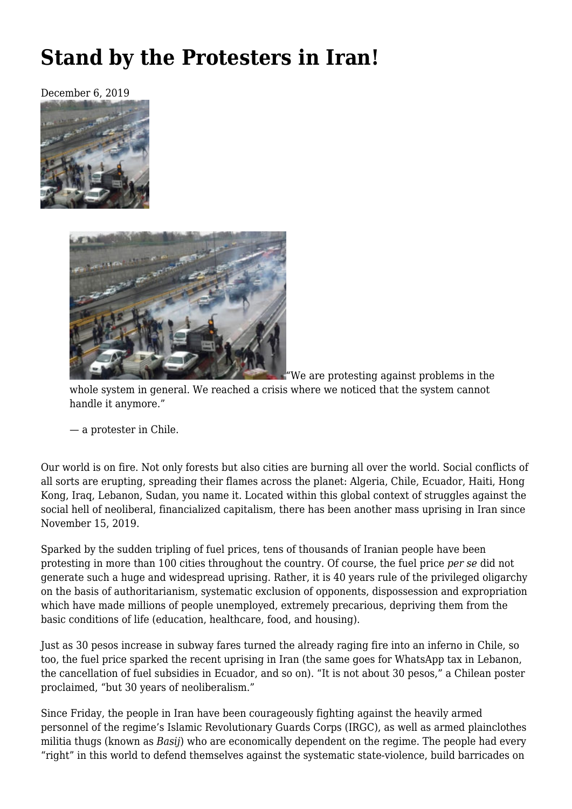## **[Stand by the Protesters in Iran!](https://newpol.org/stand-by-the-protesters-in-iran/)**

December 6, 2019





"We are protesting against problems in the

whole system in general. We reached a crisis where we noticed that the system cannot handle it anymore."

— a protester in Chile.

Our world is on fire. Not only forests but also cities are burning all over the world. Social conflicts of all sorts are erupting, spreading their flames across the planet: Algeria, Chile, Ecuador, Haiti, Hong Kong, Iraq, Lebanon, Sudan, you name it. Located within this global context of struggles against the social hell of neoliberal, financialized capitalism, there has been another [mass uprising in Iran](https://en.wikipedia.org/wiki/2019_Iranian_protests) since November 15, 2019.

Sparked by the sudden tripling of fuel prices, tens of thousands of Iranian people have been protesting in more than 100 cities throughout the country. Of course, the fuel price *per se* did not generate such a huge and widespread uprising. Rather, it is 40 years rule of the privileged oligarchy on the basis of authoritarianism, systematic exclusion of opponents, dispossession and expropriation which have made millions of people unemployed, extremely precarious, depriving them from the basic conditions of life (education, healthcare, food, and housing).

Just as 30 pesos increase in subway fares turned the already raging fire into an inferno in Chile, so too, the fuel price sparked the recent uprising in Iran (the same goes for WhatsApp tax in Lebanon, the cancellation of fuel subsidies in Ecuador, and so on). "It is not about 30 pesos," a Chilean poster proclaimed, "but 30 years of neoliberalism."

Since Friday, the people in Iran have been courageously fighting against the heavily armed personnel of the regime's Islamic Revolutionary Guards Corps (IRGC), as well as armed plainclothes militia thugs (known as *Basij*) who are economically dependent on the regime. The people had every "right" in this world to defend themselves against the systematic state-violence, build barricades on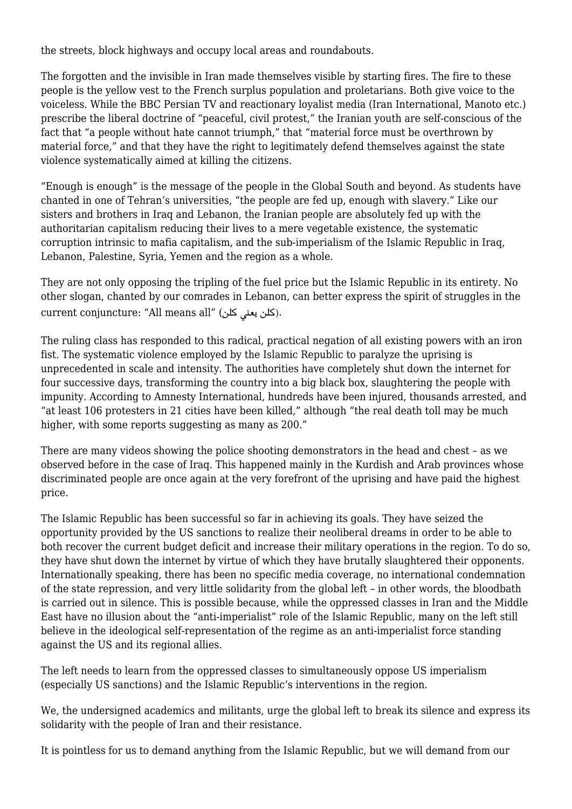the streets, block highways and occupy local areas and roundabouts.

The forgotten and the invisible in Iran made themselves visible by starting fires. The fire to these people is the yellow vest to the French surplus population and proletarians. Both give voice to the voiceless. While the BBC Persian TV and reactionary loyalist media (Iran International, Manoto etc.) prescribe the liberal doctrine of "peaceful, civil protest," the Iranian youth are self-conscious of the fact that "a people without hate cannot triumph," that "material force must be overthrown by material force," and that they have the right to legitimately defend themselves against the state violence systematically aimed at killing the citizens.

"Enough is enough" is the message of the people in the Global South and beyond. As students have chanted in one of Tehran's universities, "the people are fed up, enough with slavery." Like our sisters and brothers in Iraq and Lebanon, the Iranian people are absolutely fed up with the authoritarian capitalism reducing their lives to a mere vegetable existence, the systematic corruption intrinsic to mafia capitalism, and the sub-imperialism of the Islamic Republic in Iraq, Lebanon, Palestine, Syria, Yemen and the region as a whole.

They are not only opposing the tripling of the fuel price but the Islamic Republic in its entirety. No other slogan, chanted by our comrades in Lebanon, can better express the spirit of struggles in the current conjuncture: "All means all" (كلن يعن كلن(.

The ruling class has responded to this radical, practical negation of all existing powers with an iron fist. The systematic violence employed by the Islamic Republic to paralyze the uprising is unprecedented in scale and intensity. The authorities have completely shut down the internet for four successive days, transforming the country into a big black box, slaughtering the people with impunity. According to Amnesty International, hundreds have been injured, thousands arrested, and "at least 106 protesters in 21 cities have been killed," although "the real death toll may be much higher, with some reports suggesting as many as 200."

There are [many videos](https://www.youtube.com/results?search_query=iran+protest+2019) showing the police shooting demonstrators in the head and chest – as we observed before in the case of Iraq. This happened mainly in the Kurdish and Arab provinces whose discriminated people are once again at the very forefront of the uprising and have paid the highest price.

The Islamic Republic has been successful so far in achieving its goals. They have seized the opportunity provided by the US sanctions to realize their neoliberal dreams in order to be able to both recover the current budget deficit and increase their military operations in the region. To do so, they have shut down the internet by virtue of which they have brutally slaughtered their opponents. Internationally speaking, there has been no specific media coverage, no international condemnation of the state repression, and very little solidarity from the global left – in other words, the bloodbath is carried out in silence. This is possible because, while the oppressed classes in Iran and the Middle East have no illusion about the "anti-imperialist" role of the Islamic Republic, many on the left still believe in the ideological self-representation of the regime as an anti-imperialist force standing against the US and its regional allies.

The left needs to learn from the oppressed classes to simultaneously oppose US imperialism (especially US sanctions) and the Islamic Republic's interventions in the region.

We, the undersigned academics and militants, urge the global left to break its silence and express its solidarity with the people of Iran and their resistance.

It is pointless for us to demand anything from the Islamic Republic, but we will demand from our